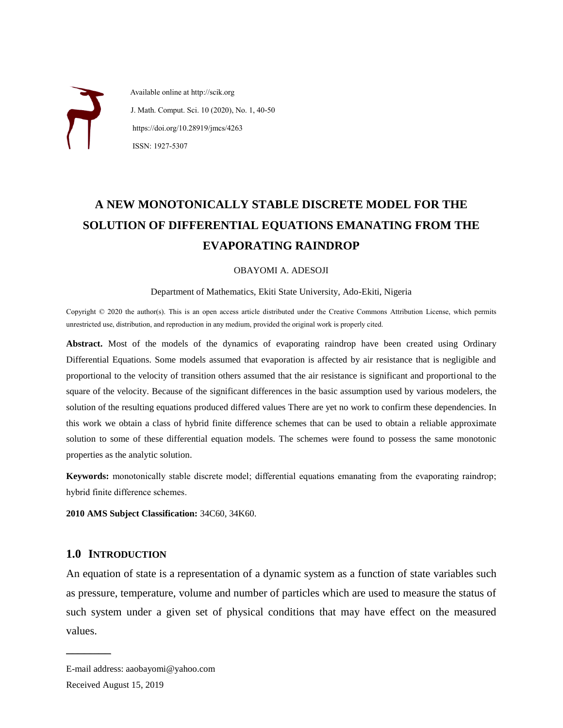Available online at http://scik.org J. Math. Comput. Sci. 10 (2020), No. 1, 40-50 https://doi.org/10.28919/jmcs/4263 ISSN: 1927-5307

# **A NEW MONOTONICALLY STABLE DISCRETE MODEL FOR THE SOLUTION OF DIFFERENTIAL EQUATIONS EMANATING FROM THE EVAPORATING RAINDROP**

#### OBAYOMI A. ADESOJI

#### Department of Mathematics, Ekiti State University, Ado-Ekiti, Nigeria

Copyright © 2020 the author(s). This is an open access article distributed under the Creative Commons Attribution License, which permits unrestricted use, distribution, and reproduction in any medium, provided the original work is properly cited.

**Abstract.** Most of the models of the dynamics of evaporating raindrop have been created using Ordinary Differential Equations. Some models assumed that evaporation is affected by air resistance that is negligible and proportional to the velocity of transition others assumed that the air resistance is significant and proportional to the square of the velocity. Because of the significant differences in the basic assumption used by various modelers, the solution of the resulting equations produced differed values There are yet no work to confirm these dependencies. In this work we obtain a class of hybrid finite difference schemes that can be used to obtain a reliable approximate solution to some of these differential equation models. The schemes were found to possess the same monotonic properties as the analytic solution.

**Keywords:** monotonically stable discrete model; differential equations emanating from the evaporating raindrop; hybrid finite difference schemes.

**2010 AMS Subject Classification:** 34C60, 34K60.

## **1.0 INTRODUCTION**

 $\overline{\phantom{a}}$  , where  $\overline{\phantom{a}}$ 

An equation of state is a representation of a dynamic system as a function of state variables such as pressure, temperature, volume and number of particles which are used to measure the status of such system under a given set of physical conditions that may have effect on the measured values.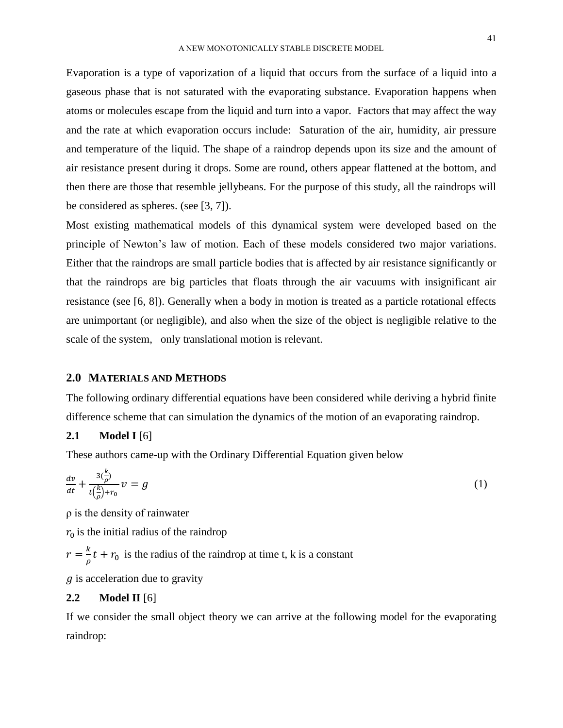Evaporation is a type of [vaporization](https://en.wikipedia.org/wiki/Vaporization) of a [liquid](https://en.wikipedia.org/wiki/Liquid) that occurs from the [surface](https://en.wikipedia.org/wiki/Interface_(chemistry)) of a liquid into a gaseous phase that is not saturated with the evaporating substance. Evaporation happens when atoms or molecules escape from the liquid and turn into a vapor. Factors that may affect the way and the rate at which evaporation occurs include: Saturation of the air, humidity, air pressure and temperature of the liquid. The shape of a raindrop depends upon its size and the amount of air resistance present during it drops. Some are round, others appear flattened at the bottom, and then there are those that resemble jellybeans. For the purpose of this study, all the raindrops will be considered as spheres. (see [3, 7]).

Most existing mathematical models of this dynamical system were developed based on the principle of Newton's law of motion. Each of these models considered two major variations. Either that the raindrops are small particle bodies that is affected by air resistance significantly or that the raindrops are big particles that floats through the air vacuums with insignificant air resistance (see [6, 8]). Generally when a body in motion is treated as a particle rotational effects are unimportant (or negligible), and also when the size of the object is negligible relative to the scale of the system, only translational motion is relevant.

#### **2.0 MATERIALS AND METHODS**

The following ordinary differential equations have been considered while deriving a hybrid finite difference scheme that can simulation the dynamics of the motion of an evaporating raindrop.

## **2.1 Model I** [6]

These authors came-up with the Ordinary Differential Equation given below

$$
\frac{dv}{dt} + \frac{3\left(\frac{k}{\rho}\right)}{t\left(\frac{k}{\rho}\right) + r_0} v = g \tag{1}
$$

ρ is the density of rainwater

 $r_0$  is the initial radius of the raindrop

 $r=\frac{k}{2}$  $\frac{\pi}{\rho}t + r_0$  is the radius of the raindrop at time t, k is a constant

 $q$  is acceleration due to gravity

## **2.2 Model II** [6]

If we consider the small object theory we can arrive at the following model for the evaporating raindrop: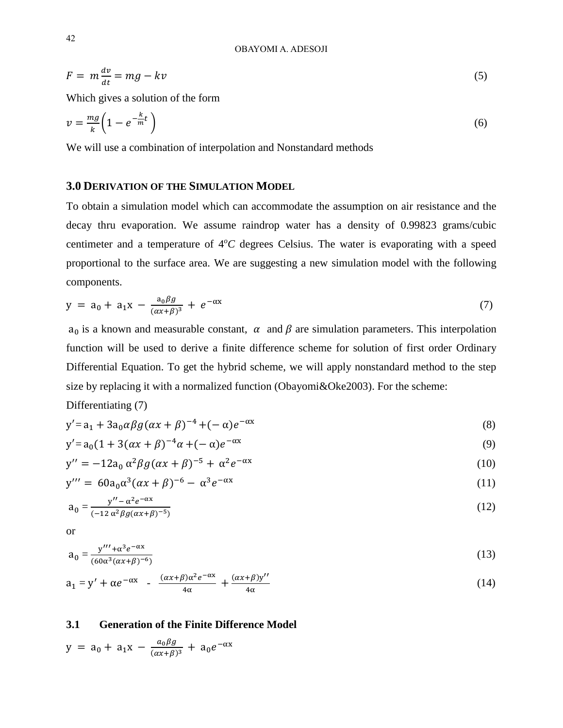$$
F = m \frac{dv}{dt} = mg - kv \tag{5}
$$

Which gives a solution of the form

$$
v = \frac{mg}{k} \left( 1 - e^{-\frac{k}{m}t} \right) \tag{6}
$$

We will use a combination of interpolation and Nonstandard methods

## **3.0 DERIVATION OF THE SIMULATION MODEL**

To obtain a simulation model which can accommodate the assumption on air resistance and the decay thru evaporation. We assume raindrop water has a density of 0.99823 grams/cubic centimeter and a temperature of  $4^{\circ}C$  degrees Celsius. The water is evaporating with a speed proportional to the surface area. We are suggesting a new simulation model with the following components.

$$
y = a_0 + a_1 x - \frac{a_0 \beta g}{(\alpha x + \beta)^3} + e^{-\alpha x}
$$
 (7)

 $a_0$  is a known and measurable constant,  $\alpha$  and  $\beta$  are simulation parameters. This interpolation function will be used to derive a finite difference scheme for solution of first order Ordinary Differential Equation. To get the hybrid scheme, we will apply nonstandard method to the step size by replacing it with a normalized function (Obayomi&Oke2003). For the scheme:

Differentiating (7)

$$
y' = a_1 + 3a_0 \alpha \beta g (\alpha x + \beta)^{-4} + (-\alpha) e^{-\alpha x}
$$
\n(8)

$$
y' = a_0 (1 + 3(\alpha x + \beta)^{-4} \alpha + (-\alpha) e^{-\alpha x} \tag{9}
$$

$$
y'' = -12a_0 \alpha^2 \beta g (\alpha x + \beta)^{-5} + \alpha^2 e^{-\alpha x}
$$
\n(10)

$$
y''' = 60a_0\alpha^3(\alpha x + \beta)^{-6} - \alpha^3 e^{-\alpha x}
$$
 (11)

$$
a_0 = \frac{y'' - \alpha^2 e^{-\alpha x}}{(-12 \alpha^2 \beta g (\alpha x + \beta)^{-5})}
$$
(12)

or

$$
a_0 = \frac{y''' + \alpha^3 e^{-\alpha x}}{(60\alpha^3(\alpha x + \beta)^{-6})}
$$
(13)

$$
a_1 = y' + \alpha e^{-\alpha x} - \frac{(\alpha x + \beta)\alpha^2 e^{-\alpha x}}{4\alpha} + \frac{(\alpha x + \beta)y''}{4\alpha}
$$
 (14)

## **3.1 Generation of the Finite Difference Model**

$$
y = a_0 + a_1 x - \frac{a_0 \beta g}{(\alpha x + \beta)^3} + a_0 e^{-\alpha x}
$$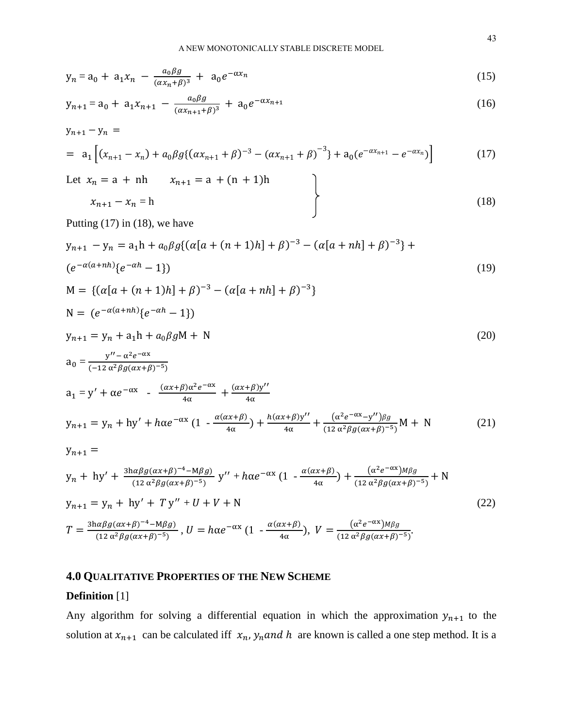$$
y_n = a_0 + a_1 x_n - \frac{a_0 \beta g}{(\alpha x_n + \beta)^3} + a_0 e^{-\alpha x_n}
$$
 (15)

$$
y_{n+1} = a_0 + a_1 x_{n+1} - \frac{a_0 \beta g}{(\alpha x_{n+1} + \beta)^3} + a_0 e^{-\alpha x_{n+1}}
$$
\n(16)

$$
y_{n+1} - y_n =
$$
  
=  $a_1 \left[ (x_{n+1} - x_n) + a_0 \beta g \{ (\alpha x_{n+1} + \beta)^{-3} - (\alpha x_{n+1} + \beta)^{-3} \} + a_0 (e^{-\alpha x_{n+1}} - e^{-\alpha x_n}) \right]$  (17)

Let  $x_n = a + nh$   $x_{n+1} = a + (n + 1)h$  $x_{n+1} - x_n = h$  (18)

Putting  $(17)$  in  $(18)$ , we have

$$
y_{n+1} - y_n = a_1 h + a_0 \beta g \{ (\alpha [a + (n+1)h] + \beta)^{-3} - (\alpha [a + nh] + \beta)^{-3} \} +
$$
  

$$
(e^{-\alpha (a + nh)} \{ e^{-\alpha h} - 1 \})
$$
 (19)

$$
M = \{ (\alpha[a + (n + 1)h] + \beta)^{-3} - (\alpha[a + nh] + \beta)^{-3} \}
$$
  
\n
$$
N = (e^{-\alpha(a + nh)} \{e^{-\alpha h} - 1\})
$$
  
\n
$$
y_{n+1} = y_n + a_1 h + a_0 \beta g M + N
$$
  
\n
$$
a_0 = \frac{y'' - \alpha^2 e^{-\alpha x}}{(-12 \alpha^2 \beta g (\alpha x + \beta)^{-5})}
$$
  
\n
$$
a_1 = y' + \alpha e^{-\alpha x} - \frac{(\alpha x + \beta)\alpha^2 e^{-\alpha x}}{4\alpha} + \frac{(\alpha x + \beta)y''}{4\alpha}
$$
  
\n
$$
y_{n+1} = y_n + hy' + h\alpha e^{-\alpha x} (1 - \frac{\alpha(\alpha x + \beta)}{4\alpha}) + \frac{h(\alpha x + \beta)y''}{4\alpha} + \frac{(\alpha^2 e^{-\alpha x} - y'')\beta g}{(12 \alpha^2 \beta g (\alpha x + \beta)^{-5})} M + N
$$
\n(21)  
\n
$$
y_{n+1} =
$$

$$
y_n + hy' + \frac{3h\alpha\beta g(\alpha x + \beta)^{-4} - M\beta g}{(12 \alpha^2 \beta g(\alpha x + \beta)^{-5})} y'' + h\alpha e^{-\alpha x} (1 - \frac{\alpha(\alpha x + \beta)}{4\alpha}) + \frac{(\alpha^2 e^{-\alpha x})M\beta g}{(12 \alpha^2 \beta g(\alpha x + \beta)^{-5})} + N
$$
  
\n
$$
y_{n+1} = y_n + hy' + Ty'' + U + V + N
$$
  
\n
$$
T = \frac{3h\alpha\beta g(\alpha x + \beta)^{-4} - M\beta g}{(12 \alpha^2 \beta g(\alpha x + \beta)^{-5})}, U = h\alpha e^{-\alpha x} (1 - \frac{\alpha(\alpha x + \beta)}{4\alpha}), V = \frac{(\alpha^2 e^{-\alpha x})M\beta g}{(12 \alpha^2 \beta g(\alpha x + \beta)^{-5})}.
$$
\n(22)

## **4.0 QUALITATIVE PROPERTIES OF THE NEW SCHEME**

#### **Definition** [1]

Any algorithm for solving a differential equation in which the approximation  $y_{n+1}$  to the solution at  $x_{n+1}$  can be calculated iff  $x_n$ ,  $y_n$  and h are known is called a one step method. It is a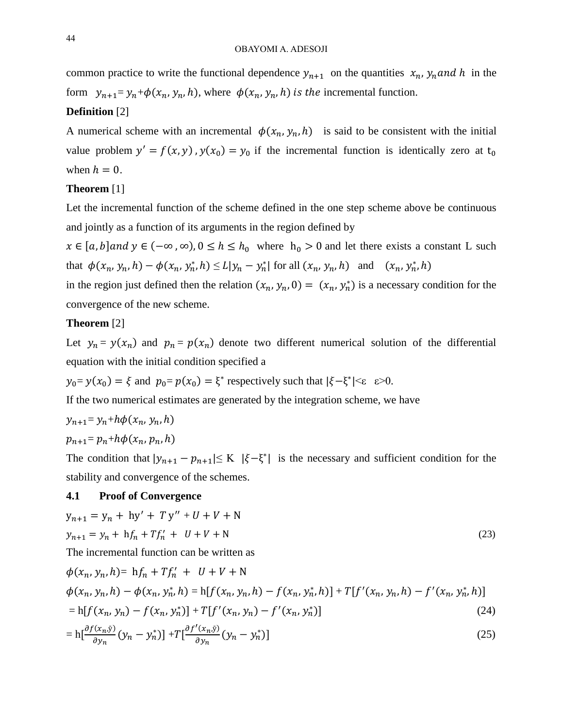common practice to write the functional dependence  $y_{n+1}$  on the quantities  $x_n$ ,  $y_n$  and h in the form  $y_{n+1} = y_n + \phi(x_n, y_n, h)$ , where  $\phi(x_n, y_n, h)$  is the incremental function.

## **Definition** [2]

A numerical scheme with an incremental  $\phi(x_n, y_n, h)$  is said to be consistent with the initial value problem  $y' = f(x, y)$ ,  $y(x_0) = y_0$  if the incremental function is identically zero at  $t_0$ when  $h = 0$ .

#### **Theorem** [1]

Let the incremental function of the scheme defined in the one step scheme above be continuous and jointly as a function of its arguments in the region defined by

 $x \in [a, b]$  and  $y \in (-\infty, \infty)$ ,  $0 \le h \le h_0$  where  $h_0 > 0$  and let there exists a constant L such that  $\phi(x_n, y_n, h) - \phi(x_n, y_n^*, h) \le L |y_n - y_n^*|$  for all  $(x_n, y_n, h)$  and  $(x_n, y_n^*, h)$ 

in the region just defined then the relation  $(x_n, y_n, 0) = (x_n, y_n^*)$  is a necessary condition for the convergence of the new scheme.

## **Theorem** [2]

Let  $y_n = y(x_n)$  and  $p_n = p(x_n)$  denote two different numerical solution of the differential equation with the initial condition specified a

 $y_0 = y(x_0) = \xi$  and  $p_0 = p(x_0) = \xi^*$  respectively such that  $|\xi - \xi^*| \le \varepsilon > 0$ .

If the two numerical estimates are generated by the integration scheme, we have

$$
y_{n+1} = y_n + h\phi(x_n, y_n, h)
$$

$$
p_{n+1} = p_n + h\phi(x_n, p_n, h)
$$

The condition that  $|y_{n+1} - p_{n+1}| \le K |\xi - \xi^*|$  is the necessary and sufficient condition for the stability and convergence of the schemes.

#### **4.1 Proof of Convergence**

$$
y_{n+1} = y_n + hy' + Ty'' + U + V + N
$$
  
\n
$$
y_{n+1} = y_n + hf_n + Tf'_n + U + V + N
$$
\n(23)

The incremental function can be written as

$$
\phi(x_n, y_n, h) = hf_n + Tf'_n + U + V + N
$$
  
\n
$$
\phi(x_n, y_n, h) - \phi(x_n, y_n^*, h) = h[f(x_n, y_n, h) - f(x_n, y_n^*, h)] + T[f'(x_n, y_n, h) - f'(x_n, y_n^*, h)]
$$
  
\n
$$
= h[f(x_n, y_n) - f(x_n, y_n^*)] + T[f'(x_n, y_n) - f'(x_n, y_n^*)]
$$
\n(24)

$$
= \mathbf{h} \left[ \frac{\partial f(x_n, \bar{y})}{\partial y_n} \left( y_n - y_n^* \right) \right] + T \left[ \frac{\partial f'(x_n, \bar{y})}{\partial y_n} \left( y_n - y_n^* \right) \right] \tag{25}
$$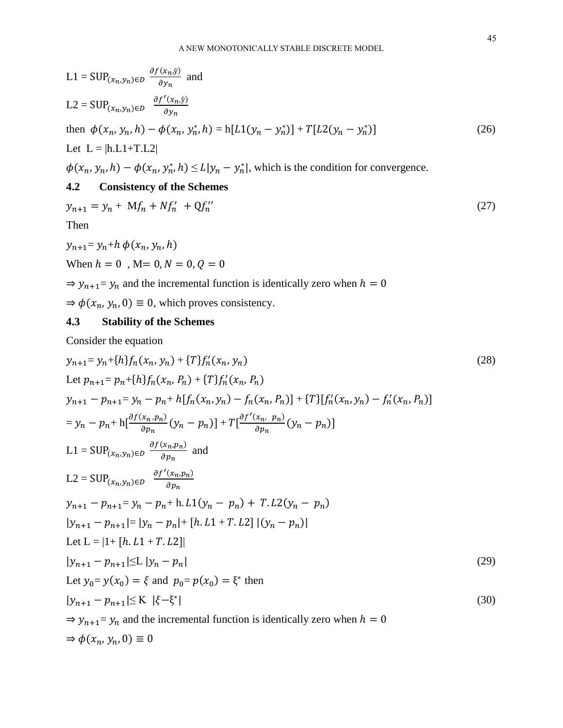$$
L1 = \text{SUP}_{(x_n, y_n) \in D} \frac{\partial f(x_n, \bar{y})}{\partial y_n} \text{ and}
$$
  
\n
$$
L2 = \text{SUP}_{(x_n, y_n) \in D} \frac{\partial f'(x_n, \bar{y})}{\partial y_n}
$$
  
\nthen  $\phi(x_n, y_n, h) - \phi(x_n, y_n^*, h) = h[L1(y_n - y_n^*)] + T[L2(y_n - y_n^*)]$  (26)  
\nLet  $L = |h.L1 + T.L2|$ 

 $\phi(x_n, y_n, h) - \phi(x_n, y_n^*, h) \le L|y_n - y_n^*|$ , which is the condition for convergence.

## **4.2 Consistency of the Schemes**

$$
y_{n+1} = y_n + Mf_n + Nf'_n + Qf''_n \tag{27}
$$

Then

$$
y_{n+1} = y_n + h \phi(x_n, y_n, h)
$$
  
When  $h = 0$ ,  $M = 0, N = 0, Q = 0$ 

 $\Rightarrow$   $y_{n+1}$ =  $y_n$  and the incremental function is identically zero when  $h = 0$ 

 $\Rightarrow \phi(x_n, y_n, 0) \equiv 0$ , which proves consistency.

## **4.3 Stability of the Schemes**

Consider the equation

$$
y_{n+1} = y_n + \{h\}f_n(x_n, y_n) + \{T\}f'_n(x_n, y_n)
$$
\n
$$
Let p_{n+1} = p_n + \{h\}f_n(x_n, p_n) + \{T\}f'_n(x_n, p_n)
$$
\n
$$
y_{n+1} - p_{n+1} = y_n - p_n + h[f_n(x_n, y_n) - f_n(x_n, p_n)] + \{T\}[f'_n(x_n, y_n) - f'_n(x_n, p_n)]
$$
\n
$$
= y_n - p_n + h\left[\frac{\partial f(x_n, p_n)}{\partial p_n}(y_n - p_n)\right] + T\left[\frac{\partial f'(x_n, p_n)}{\partial p_n}(y_n - p_n)\right]
$$
\n
$$
L1 = \text{SUP}_{(x_n, y_n) \in D} \frac{\partial f(x_n, p_n)}{\partial p_n} \text{ and}
$$
\n
$$
L2 = \text{SUP}_{(x_n, y_n) \in D} \frac{\partial f'(x_n, p_n)}{\partial p_n}
$$
\n
$$
y_{n+1} - p_{n+1} = y_n - p_n + h \cdot L1(y_n - p_n) + T \cdot L2(y_n - p_n)
$$
\n
$$
|y_{n+1} - p_{n+1}| = |y_n - p_n| + [h \cdot L1 + T \cdot L2] |(y_n - p_n)|
$$
\n
$$
Let L = |1 + [h \cdot L1 + T \cdot L2]|
$$
\n
$$
|y_{n+1} - p_{n+1}| \le L |y_n - p_n|
$$
\n
$$
|y_{n+1} - p_{n+1}| \le L |y_n - p_n|
$$
\n
$$
|y_{n+1} - p_{n+1}| \le K | \xi - \xi^*|
$$
\n
$$
|y_{n+1} - p_{n+1}| \le K | \xi - \xi^*|
$$
\n
$$
\Rightarrow y_{n+1} = y_n \text{ and the incremental function is identically zero when } h = 0
$$
\n
$$
\Rightarrow \phi(x_n, y_n, 0) = 0
$$
\n(30)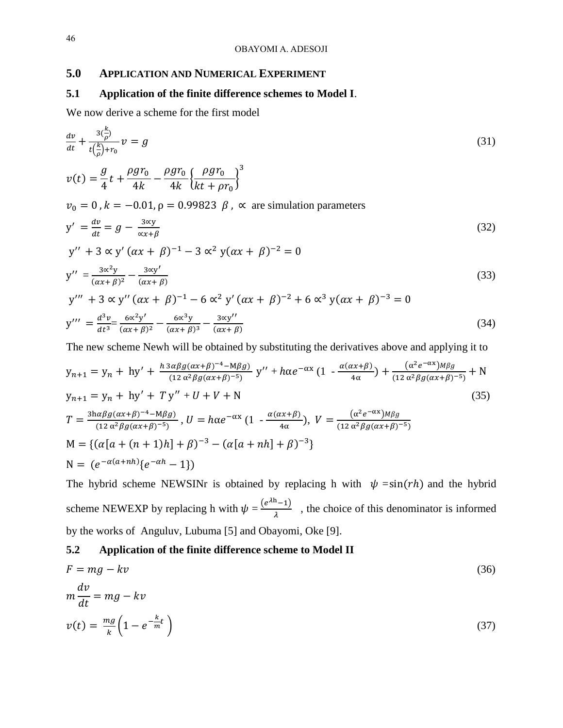## **5.0 APPLICATION AND NUMERICAL EXPERIMENT**

## **5.1 Application of the finite difference schemes to Model I**.

We now derive a scheme for the first model

$$
\frac{dv}{dt} + \frac{3(\frac{k}{\rho})}{t(\frac{k}{\rho}) + r_0} v = g
$$
\n(31)  
\n
$$
v(t) = \frac{g}{4} t + \frac{\rho g r_0}{4k} - \frac{\rho g r_0}{4k} \left\{ \frac{\rho g r_0}{kt + \rho r_0} \right\}^3
$$
\n
$$
v_0 = 0, k = -0.01, \rho = 0.99823 \beta, \propto \text{ are simulation parameters}
$$
\n
$$
y' = \frac{dv}{dt} = g - \frac{3 \text{eV}}{\text{ex} + \beta}
$$
\n(32)  
\n
$$
y'' + 3 \propto y' (\alpha x + \beta)^{-1} - 3 \propto^2 y (\alpha x + \beta)^{-2} = 0
$$
\n
$$
y'' = \frac{3 \text{eV}}{(\alpha x + \beta)^2} - \frac{3 \text{eV}}{(\alpha x + \beta)}
$$
\n(33)  
\n
$$
y''' + 3 \propto y'' (\alpha x + \beta)^{-1} - 6 \propto^2 y' (\alpha x + \beta)^{-2} + 6 \propto^3 y (\alpha x + \beta)^{-3} = 0
$$
\n
$$
y''' = \frac{d^3 v}{dt^3} = \frac{6 \text{eV}}{(\alpha x + \beta)^2} - \frac{6 \text{eV}}{(\alpha x + \beta)^3} - \frac{3 \text{eV}}{(\alpha x + \beta)}
$$
\n(34)  
\nThe new scheme New will be obtained by substituting the derivatives above and applying it to

The new scheme Newh will be obtained by substituting the derivatives above and applying it to

$$
y_{n+1} = y_n + hy' + \frac{h \alpha \beta g(\alpha x + \beta)^{-4} - M\beta g}{(12 \alpha^2 \beta g(\alpha x + \beta)^{-5})} y'' + h\alpha e^{-\alpha x} (1 - \frac{\alpha(\alpha x + \beta)}{4\alpha}) + \frac{(\alpha^2 e^{-\alpha x}) M\beta g}{(12 \alpha^2 \beta g(\alpha x + \beta)^{-5})} + N
$$
  
\n
$$
y_{n+1} = y_n + hy' + Ty'' + U + V + N
$$
  
\n
$$
T = \frac{3h\alpha\beta g(\alpha x + \beta)^{-4} - M\beta g}{(12 \alpha^2 \beta g(\alpha x + \beta)^{-5})}, U = h\alpha e^{-\alpha x} (1 - \frac{\alpha(\alpha x + \beta)}{4\alpha}), V = \frac{(\alpha^2 e^{-\alpha x}) M\beta g}{(12 \alpha^2 \beta g(\alpha x + \beta)^{-5})}
$$
  
\n
$$
M = \{ (\alpha[a + (n + 1)h] + \beta)^{-3} - (\alpha[a + nh] + \beta)^{-3} \}
$$
  
\n
$$
N = (e^{-\alpha(a + nh)} \{e^{-\alpha h} - 1\})
$$
  
\n(35)

The hybrid scheme NEWSINr is obtained by replacing h with  $\psi = \sin(rh)$  and the hybrid scheme NEWEXP by replacing h with  $\psi = \frac{(e^{\lambda h}-1)}{h}$  $\frac{(-1)}{\lambda}$ , the choice of this denominator is informed by the works of Anguluv, Lubuma [5] and Obayomi, Oke [9].

## **5.2 Application of the finite difference scheme to Model II**

$$
F = mg - kv
$$
  
\n
$$
m\frac{dv}{dt} = mg - kv
$$
  
\n
$$
v(t) = \frac{mg}{k} \left(1 - e^{-\frac{k}{m}t}\right)
$$
\n(37)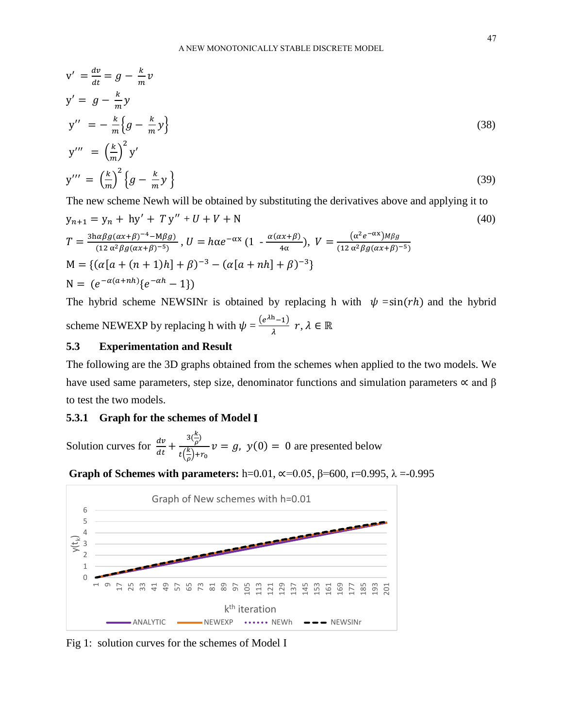$$
v' = \frac{dv}{dt} = g - \frac{k}{m}v
$$
  
\n
$$
y' = g - \frac{k}{m}y
$$
  
\n
$$
y'' = -\frac{k}{m}\left{g - \frac{k}{m}y\right}
$$
  
\n
$$
y''' = \left(\frac{k}{m}\right)^2 y'
$$
  
\n
$$
y''' = \left(\frac{k}{m}\right)^2 \left{g - \frac{k}{m}y\right}
$$
\n(39)

The new scheme Newh will be obtained by substituting the derivatives above and applying it to

$$
y_{n+1} = y_n + hy' + Ty'' + U + V + N
$$
  
\n
$$
T = \frac{3h\alpha\beta g(\alpha x + \beta)^{-4} - M\beta g}{(12 \alpha^2 \beta g(\alpha x + \beta)^{-5})}, U = h\alpha e^{-\alpha x} (1 - \frac{\alpha(\alpha x + \beta)}{4\alpha}), V = \frac{(\alpha^2 e^{-\alpha x})M\beta g}{(12 \alpha^2 \beta g(\alpha x + \beta)^{-5})}
$$
  
\n
$$
M = \{ (\alpha[a + (n + 1)h] + \beta)^{-3} - (\alpha[a + nh] + \beta)^{-3} \}
$$
  
\n
$$
N = (e^{-\alpha(a + nh)} \{e^{-\alpha h} - 1\})
$$
\n(40)

The hybrid scheme NEWSINr is obtained by replacing h with  $\psi = \sin(rh)$  and the hybrid scheme NEWEXP by replacing h with  $\psi = \frac{(e^{\lambda h}-1)}{h}$  $\frac{-1}{\lambda}$   $r, \lambda \in \mathbb{R}$ 

#### **5.3 Experimentation and Result**

The following are the 3D graphs obtained from the schemes when applied to the two models. We have used same parameters, step size, denominator functions and simulation parameters  $\propto$  and  $\beta$ to test the two models.

#### **5.3.1 Graph for the schemes of Model**

Solution curves for  $\frac{dv}{dt} + \frac{3(\frac{k}{\rho})}{t(\frac{k}{r})+1}$  $\frac{\kappa}{\rho}$ )  $t(\frac{k}{a})$  $\frac{\pi}{\rho})+r_0$  $v = g$ ,  $y(0) = 0$  are presented below

**Graph of Schemes with parameters:** h=0.01, ∝=0.05, β=600, r=0.995, λ =-0.995



Fig 1: solution curves for the schemes of Model Ι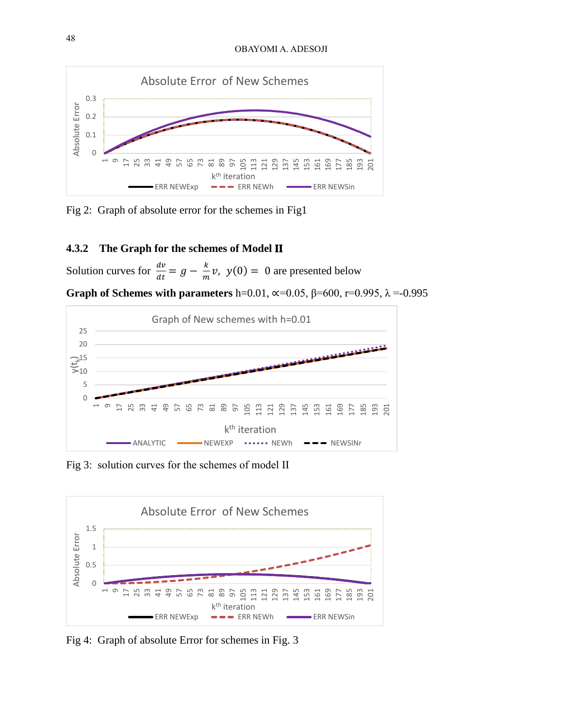#### OBAYOMI A. ADESOJI



Fig 2: Graph of absolute error for the schemes in Fig1

## **4.3.2 The Graph for the schemes of Model**

Solution curves for  $\frac{dv}{dt} = g - \frac{k}{m}$  $\frac{\kappa}{m}v$ ,  $y(0) = 0$  are presented below

**Graph of Schemes with parameters** h=0.01, ∝=0.05, β=600, r=0.995, λ =-0.995



Fig 3: solution curves for the schemes of model ΙΙ



Fig 4: Graph of absolute Error for schemes in Fig. 3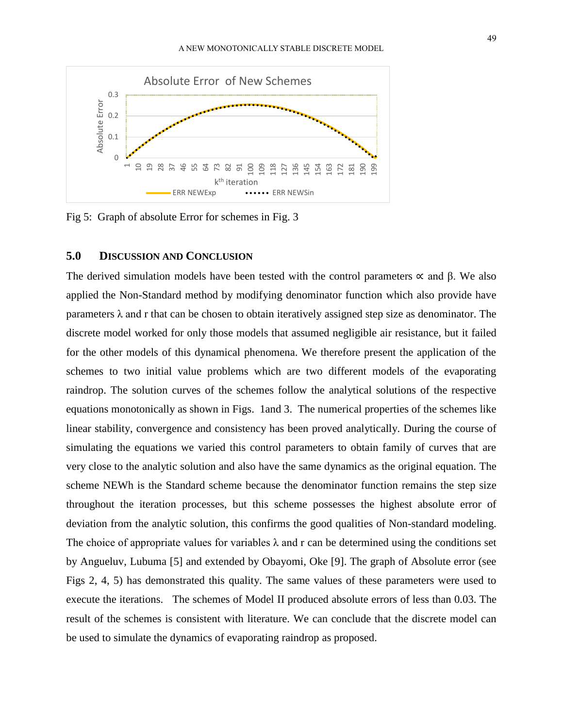

Fig 5: Graph of absolute Error for schemes in Fig. 3

## **5.0 DISCUSSION AND CONCLUSION**

The derived simulation models have been tested with the control parameters  $\alpha$  and  $\beta$ . We also applied the Non-Standard method by modifying denominator function which also provide have parameters  $\lambda$  and r that can be chosen to obtain iteratively assigned step size as denominator. The discrete model worked for only those models that assumed negligible air resistance, but it failed for the other models of this dynamical phenomena. We therefore present the application of the schemes to two initial value problems which are two different models of the evaporating raindrop. The solution curves of the schemes follow the analytical solutions of the respective equations monotonically as shown in Figs. 1and 3. The numerical properties of the schemes like linear stability, convergence and consistency has been proved analytically. During the course of simulating the equations we varied this control parameters to obtain family of curves that are very close to the analytic solution and also have the same dynamics as the original equation. The scheme NEWh is the Standard scheme because the denominator function remains the step size throughout the iteration processes, but this scheme possesses the highest absolute error of deviation from the analytic solution, this confirms the good qualities of Non-standard modeling. The choice of appropriate values for variables  $\lambda$  and r can be determined using the conditions set by Angueluv, Lubuma [5] and extended by Obayomi, Oke [9]. The graph of Absolute error (see Figs 2, 4, 5) has demonstrated this quality. The same values of these parameters were used to execute the iterations. The schemes of Model II produced absolute errors of less than 0.03. The result of the schemes is consistent with literature. We can conclude that the discrete model can be used to simulate the dynamics of evaporating raindrop as proposed.